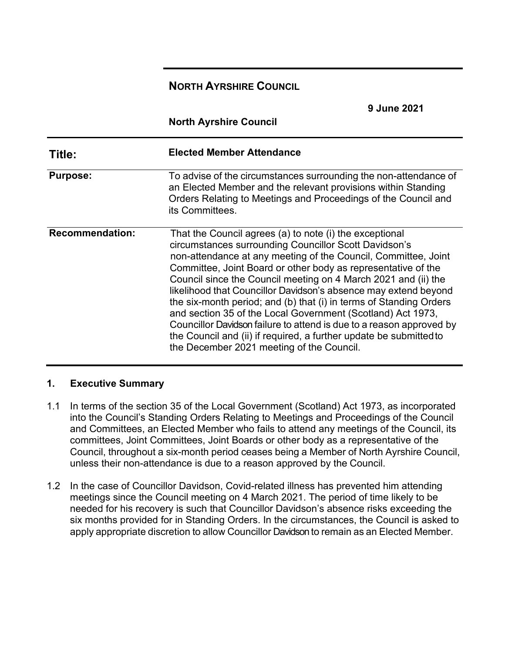# **NORTH AYRSHIRE COUNCIL**

|                        | <b>9 June 2021</b>                                                                                                                                                                                                                                                                                                                                                                                                                                                                                                                                                                                                                                                                                                       |
|------------------------|--------------------------------------------------------------------------------------------------------------------------------------------------------------------------------------------------------------------------------------------------------------------------------------------------------------------------------------------------------------------------------------------------------------------------------------------------------------------------------------------------------------------------------------------------------------------------------------------------------------------------------------------------------------------------------------------------------------------------|
|                        | <b>North Ayrshire Council</b>                                                                                                                                                                                                                                                                                                                                                                                                                                                                                                                                                                                                                                                                                            |
| Title:                 | <b>Elected Member Attendance</b>                                                                                                                                                                                                                                                                                                                                                                                                                                                                                                                                                                                                                                                                                         |
| <b>Purpose:</b>        | To advise of the circumstances surrounding the non-attendance of<br>an Elected Member and the relevant provisions within Standing<br>Orders Relating to Meetings and Proceedings of the Council and<br>its Committees.                                                                                                                                                                                                                                                                                                                                                                                                                                                                                                   |
| <b>Recommendation:</b> | That the Council agrees (a) to note (i) the exceptional<br>circumstances surrounding Councillor Scott Davidson's<br>non-attendance at any meeting of the Council, Committee, Joint<br>Committee, Joint Board or other body as representative of the<br>Council since the Council meeting on 4 March 2021 and (ii) the<br>likelihood that Councillor Davidson's absence may extend beyond<br>the six-month period; and (b) that (i) in terms of Standing Orders<br>and section 35 of the Local Government (Scotland) Act 1973,<br>Councillor Davidson failure to attend is due to a reason approved by<br>the Council and (ii) if required, a further update be submitted to<br>the December 2021 meeting of the Council. |

#### **1. Executive Summary**

- 1.1 In terms of the section 35 of the Local Government (Scotland) Act 1973, as incorporated into the Council's Standing Orders Relating to Meetings and Proceedings of the Council and Committees, an Elected Member who fails to attend any meetings of the Council, its committees, Joint Committees, Joint Boards or other body as a representative of the Council, throughout a six-month period ceases being a Member of North Ayrshire Council, unless their non-attendance is due to a reason approved by the Council.
- 1.2 In the case of Councillor Davidson, Covid-related illness has prevented him attending meetings since the Council meeting on 4 March 2021. The period of time likely to be needed for his recovery is such that Councillor Davidson's absence risks exceeding the six months provided for in Standing Orders. In the circumstances, the Council is asked to apply appropriate discretion to allow Councillor Davidson to remain as an Elected Member.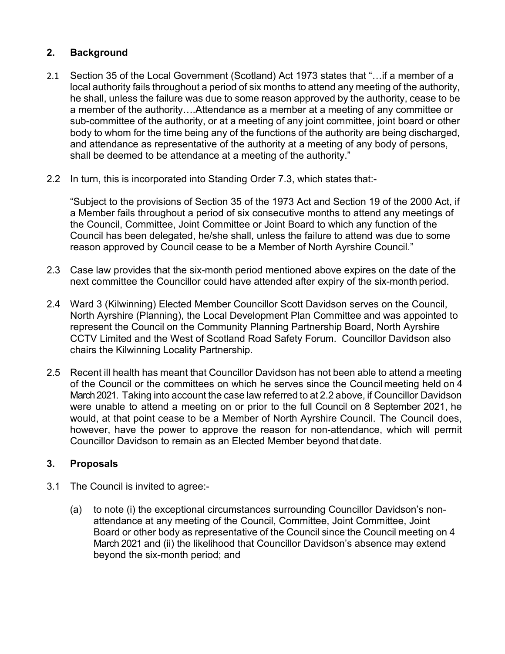#### **2. Background**

- 2.1 Section 35 of the Local Government (Scotland) Act 1973 states that "…if a member of a local authority fails throughout a period of six months to attend any meeting of the authority, he shall, unless the failure was due to some reason approved by the authority, cease to be a member of the authority….Attendance as a member at a meeting of any committee or sub-committee of the authority, or at a meeting of any joint committee, joint board or other body to whom for the time being any of the functions of the authority are being discharged, and attendance as representative of the authority at a meeting of any body of persons, shall be deemed to be attendance at a meeting of the authority."
- 2.2 In turn, this is incorporated into Standing Order 7.3, which states that:-

"Subject to the provisions of Section 35 of the 1973 Act and Section 19 of the 2000 Act, if a Member fails throughout a period of six consecutive months to attend any meetings of the Council, Committee, Joint Committee or Joint Board to which any function of the Council has been delegated, he/she shall, unless the failure to attend was due to some reason approved by Council cease to be a Member of North Ayrshire Council."

- 2.3 Case law provides that the six-month period mentioned above expires on the date of the next committee the Councillor could have attended after expiry of the six-month period.
- 2.4 Ward 3 (Kilwinning) Elected Member Councillor Scott Davidson serves on the Council, North Ayrshire (Planning), the Local Development Plan Committee and was appointed to represent the Council on the Community Planning Partnership Board, North Ayrshire CCTV Limited and the West of Scotland Road Safety Forum. Councillor Davidson also chairs the Kilwinning Locality Partnership.
- 2.5 Recent ill health has meant that Councillor Davidson has not been able to attend a meeting of the Council or the committees on which he serves since the Council meeting held on 4 March 2021. Taking into account the case law referred to at 2.2 above, if Councillor Davidson were unable to attend a meeting on or prior to the full Council on 8 September 2021, he would, at that point cease to be a Member of North Ayrshire Council. The Council does, however, have the power to approve the reason for non-attendance, which will permit Councillor Davidson to remain as an Elected Member beyond thatdate.

#### **3. Proposals**

- 3.1 The Council is invited to agree:-
	- (a) to note (i) the exceptional circumstances surrounding Councillor Davidson's nonattendance at any meeting of the Council, Committee, Joint Committee, Joint Board or other body as representative of the Council since the Council meeting on 4 March 2021 and (ii) the likelihood that Councillor Davidson's absence may extend beyond the six-month period; and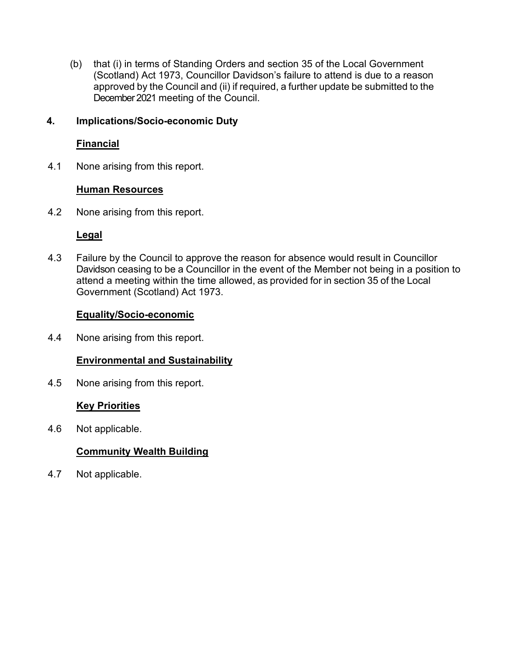(b) that (i) in terms of Standing Orders and section 35 of the Local Government (Scotland) Act 1973, Councillor Davidson's failure to attend is due to a reason approved by the Council and (ii) if required, a further update be submitted to the December 2021 meeting of the Council.

#### **4. Implications/Socio-economic Duty**

#### **Financial**

4.1 None arising from this report.

#### **Human Resources**

4.2 None arising from this report.

## **Legal**

4.3 Failure by the Council to approve the reason for absence would result in Councillor Davidson ceasing to be a Councillor in the event of the Member not being in a position to attend a meeting within the time allowed, as provided for in section 35 of the Local Government (Scotland) Act 1973.

## **Equality/Socio-economic**

4.4 None arising from this report.

# **Environmental and Sustainability**

4.5 None arising from this report.

# **Key Priorities**

4.6 Not applicable.

# **Community Wealth Building**

4.7 Not applicable.